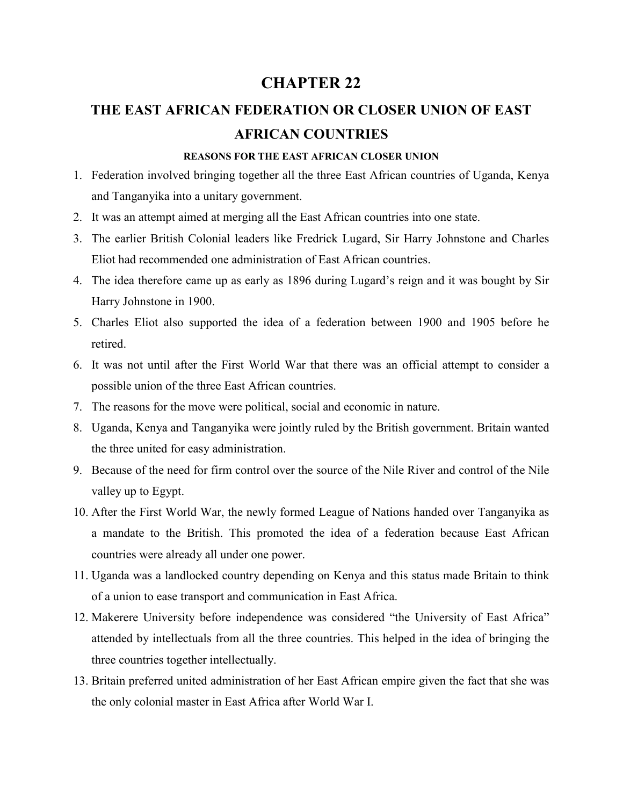# **CHAPTER 22**

# **THE EAST AFRICAN FEDERATION OR CLOSER UNION OF EAST AFRICAN COUNTRIES**

#### **REASONS FOR THE EAST AFRICAN CLOSER UNION**

- 1. Federation involved bringing together all the three East African countries of Uganda, Kenya and Tanganyika into a unitary government.
- 2. It was an attempt aimed at merging all the East African countries into one state.
- 3. The earlier British Colonial leaders like Fredrick Lugard, Sir Harry Johnstone and Charles Eliot had recommended one administration of East African countries.
- 4. The idea therefore came up as early as 1896 during Lugard's reign and it was bought by Sir Harry Johnstone in 1900.
- 5. Charles Eliot also supported the idea of a federation between 1900 and 1905 before he retired.
- 6. It was not until after the First World War that there was an official attempt to consider a possible union of the three East African countries.
- 7. The reasons for the move were political, social and economic in nature.
- 8. Uganda, Kenya and Tanganyika were jointly ruled by the British government. Britain wanted the three united for easy administration.
- 9. Because of the need for firm control over the source of the Nile River and control of the Nile valley up to Egypt.
- 10. After the First World War, the newly formed League of Nations handed over Tanganyika as a mandate to the British. This promoted the idea of a federation because East African countries were already all under one power.
- 11. Uganda was a landlocked country depending on Kenya and this status made Britain to think of a union to ease transport and communication in East Africa.
- 12. Makerere University before independence was considered "the University of East Africa" attended by intellectuals from all the three countries. This helped in the idea of bringing the three countries together intellectually.
- 13. Britain preferred united administration of her East African empire given the fact that she was the only colonial master in East Africa after World War I.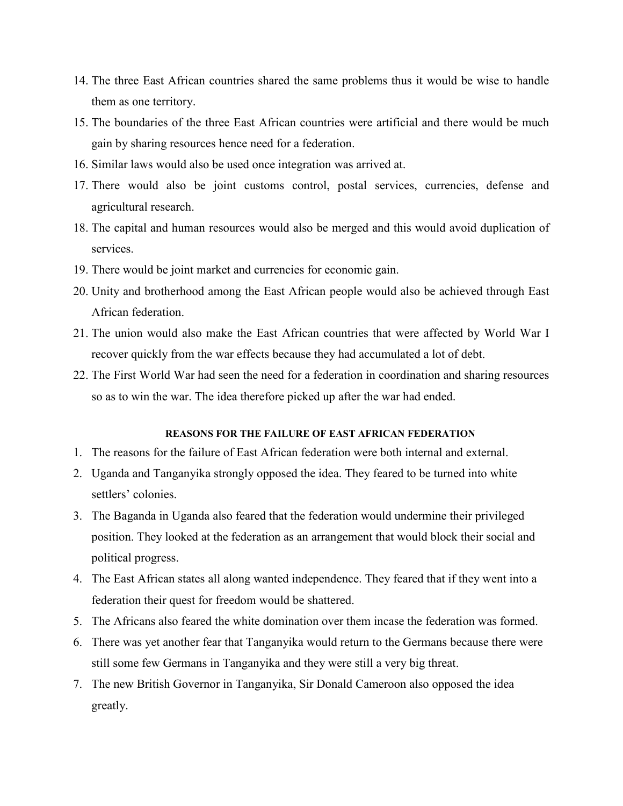- 14. The three East African countries shared the same problems thus it would be wise to handle them as one territory.
- 15. The boundaries of the three East African countries were artificial and there would be much gain by sharing resources hence need for a federation.
- 16. Similar laws would also be used once integration was arrived at.
- 17. There would also be joint customs control, postal services, currencies, defense and agricultural research.
- 18. The capital and human resources would also be merged and this would avoid duplication of services.
- 19. There would be joint market and currencies for economic gain.
- 20. Unity and brotherhood among the East African people would also be achieved through East African federation.
- 21. The union would also make the East African countries that were affected by World War I recover quickly from the war effects because they had accumulated a lot of debt.
- 22. The First World War had seen the need for a federation in coordination and sharing resources so as to win the war. The idea therefore picked up after the war had ended.

### **REASONS FOR THE FAILURE OF EAST AFRICAN FEDERATION**

- 1. The reasons for the failure of East African federation were both internal and external.
- 2. Uganda and Tanganyika strongly opposed the idea. They feared to be turned into white settlers' colonies.
- 3. The Baganda in Uganda also feared that the federation would undermine their privileged position. They looked at the federation as an arrangement that would block their social and political progress.
- 4. The East African states all along wanted independence. They feared that if they went into a federation their quest for freedom would be shattered.
- 5. The Africans also feared the white domination over them incase the federation was formed.
- 6. There was yet another fear that Tanganyika would return to the Germans because there were still some few Germans in Tanganyika and they were still a very big threat.
- 7. The new British Governor in Tanganyika, Sir Donald Cameroon also opposed the idea greatly.